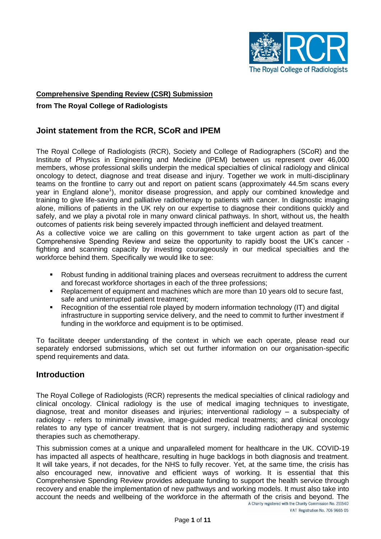

#### **Comprehensive Spending Review (CSR) Submission**

#### **from The Royal College of Radiologists**

## **Joint statement from the RCR, SCoR and IPEM**

The Royal College of Radiologists (RCR), Society and College of Radiographers (SCoR) and the Institute of Physics in Engineering and Medicine (IPEM) between us represent over 46,000 members, whose professional skills underpin the medical specialties of clinical radiology and clinical oncology to detect, diagnose and treat disease and injury. Together we work in multi-disciplinary teams on the frontline to carry out and report on patient scans (approximately 44.5m scans every year in England alone<sup>1</sup>), monitor disease progression, and apply our combined knowledge and training to give life-saving and palliative radiotherapy to patients with cancer. In diagnostic imaging alone, millions of patients in the UK rely on our expertise to diagnose their conditions quickly and safely, and we play a pivotal role in many onward clinical pathways. In short, without us, the health outcomes of patients risk being severely impacted through inefficient and delayed treatment.

As a collective voice we are calling on this government to take urgent action as part of the Comprehensive Spending Review and seize the opportunity to rapidly boost the UK's cancer fighting and scanning capacity by investing courageously in our medical specialties and the workforce behind them. Specifically we would like to see:

- Robust funding in additional training places and overseas recruitment to address the current and forecast workforce shortages in each of the three professions;
- Replacement of equipment and machines which are more than 10 years old to secure fast, safe and uninterrupted patient treatment;
- Recognition of the essential role played by modern information technology (IT) and digital infrastructure in supporting service delivery, and the need to commit to further investment if funding in the workforce and equipment is to be optimised.

To facilitate deeper understanding of the context in which we each operate, please read our separately endorsed submissions, which set out further information on our organisation-specific spend requirements and data.

### **Introduction**

The Royal College of Radiologists (RCR) represents the medical specialties of clinical radiology and clinical oncology. Clinical radiology is the use of medical imaging techniques to investigate, diagnose, treat and monitor diseases and injuries; interventional radiology – a subspecialty of radiology - refers to minimally invasive, image-guided medical treatments; and clinical oncology relates to any type of cancer treatment that is not surgery, including radiotherapy and systemic therapies such as chemotherapy.

This submission comes at a unique and unparalleled moment for healthcare in the UK. COVID-19 has impacted all aspects of healthcare, resulting in huge backlogs in both diagnosis and treatment. It will take years, if not decades, for the NHS to fully recover. Yet, at the same time, the crisis has also encouraged new, innovative and efficient ways of working. It is essential that this Comprehensive Spending Review provides adequate funding to support the health service through recovery and enable the implementation of new pathways and working models. It must also take into account the needs and wellbeing of the workforce in the aftermath of the crisis and beyond. The account the needs and wellbeing of the workforce in the aftermath of the crisis and beyond. The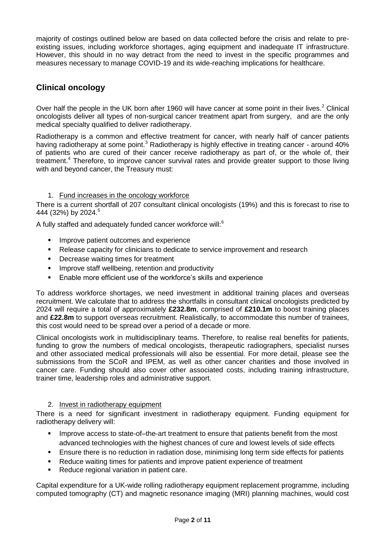majority of costings outlined below are based on data collected before the crisis and relate to preexisting issues, including workforce shortages, aging equipment and inadequate IT infrastructure. However, this should in no way detract from the need to invest in the specific programmes and measures necessary to manage COVID-19 and its wide-reaching implications for healthcare.

# **Clinical oncology**

Over half the people in the UK born after 1960 will have cancer at some point in their lives.<sup>2</sup> Clinical oncologists deliver all types of non-surgical cancer treatment apart from surgery, and are the only medical specialty qualified to deliver radiotherapy.

Radiotherapy is a common and effective treatment for cancer, with nearly half of cancer patients having radiotherapy at some point.<sup>3</sup> Radiotherapy is highly effective in treating cancer - around 40% of patients who are cured of their cancer receive radiotherapy as part of, or the whole of, their treatment.<sup>4</sup> Therefore, to improve cancer survival rates and provide greater support to those living with and beyond cancer, the Treasury must:

#### 1. Fund increases in the oncology workforce

There is a current shortfall of 207 consultant clinical oncologists (19%) and this is forecast to rise to 444 (32%) by 2024.<sup>5</sup>

A fully staffed and adequately funded cancer workforce will:<sup>6</sup>

- Improve patient outcomes and experience
- Release capacity for clinicians to dedicate to service improvement and research
- **Decrease waiting times for treatment**
- **IMPROVE Staff wellbeing, retention and productivity**
- **Enable more efficient use of the workforce's skills and experience**

To address workforce shortages, we need investment in additional training places and overseas recruitment. We calculate that to address the shortfalls in consultant clinical oncologists predicted by 2024 will require a total of approximately **£232.8m**, comprised of **£210.1m** to boost training places and **£22.8m** to support overseas recruitment. Realistically, to accommodate this number of trainees, this cost would need to be spread over a period of a decade or more.

Clinical oncologists work in multidisciplinary teams. Therefore, to realise real benefits for patients, funding to grow the numbers of medical oncologists, therapeutic radiographers, specialist nurses and other associated medical professionals will also be essential. For more detail, please see the submissions from the SCoR and IPEM, as well as other cancer charities and those involved in cancer care. Funding should also cover other associated costs, including training infrastructure, trainer time, leadership roles and administrative support.

#### 2. Invest in radiotherapy equipment

There is a need for significant investment in radiotherapy equipment. Funding equipment for radiotherapy delivery will:

- **IMPROVE ACCESS to state-of-the-art treatment to ensure that patients benefit from the most** advanced technologies with the highest chances of cure and lowest levels of side effects
- Ensure there is no reduction in radiation dose, minimising long term side effects for patients
- Reduce waiting times for patients and improve patient experience of treatment
- Reduce regional variation in patient care.

Capital expenditure for a UK-wide rolling radiotherapy equipment replacement programme, including computed tomography (CT) and magnetic resonance imaging (MRI) planning machines, would cost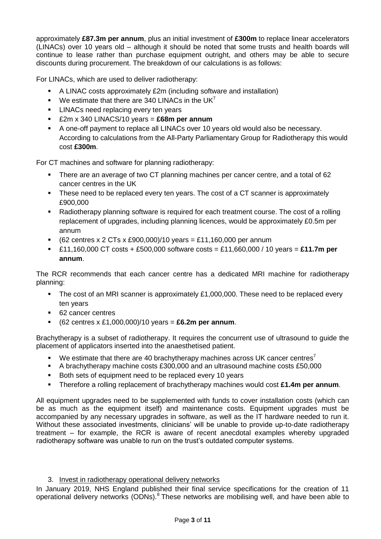approximately **£87.3m per annum**, plus an initial investment of **£300m** to replace linear accelerators (LINACs) over 10 years old – although it should be noted that some trusts and health boards will continue to lease rather than purchase equipment outright, and others may be able to secure discounts during procurement. The breakdown of our calculations is as follows:

For LINACs, which are used to deliver radiotherapy:

- A LINAC costs approximately £2m (including software and installation)
- We estimate that there are 340 LINACs in the UK<sup>7</sup>
- **LINACs need replacing every ten years**
- £2m x 340 LINACS/10 years = **£68m per annum**
- A one-off payment to replace all LINACs over 10 years old would also be necessary. According to calculations from the All-Party Parliamentary Group for Radiotherapy this would cost **£300m**.

For CT machines and software for planning radiotherapy:

- There are an average of two CT planning machines per cancer centre, and a total of 62 cancer centres in the UK
- These need to be replaced every ten years. The cost of a CT scanner is approximately £900,000
- Radiotherapy planning software is required for each treatment course. The cost of a rolling replacement of upgrades, including planning licences, would be approximately £0.5m per annum
- (62 centres x 2 CTs x £900,000)/10 years = £11,160,000 per annum
- £11,160,000 CT costs + £500,000 software costs = £11,660,000 / 10 years = **£11.7m per annum**.

The RCR recommends that each cancer centre has a dedicated MRI machine for radiotherapy planning:

- The cost of an MRI scanner is approximately  $£1,000,000$ . These need to be replaced every ten years
- 62 cancer centres
- (62 centres x £1,000,000)/10 years = **£6.2m per annum**.

Brachytherapy is a subset of radiotherapy. It requires the concurrent use of ultrasound to guide the placement of applicators inserted into the anaesthetised patient.

- We estimate that there are 40 brachytherapy machines across UK cancer centres<sup>7</sup>
- A brachytherapy machine costs £300,000 and an ultrasound machine costs £50,000
- Both sets of equipment need to be replaced every 10 years
- Therefore a rolling replacement of brachytherapy machines would cost **£1.4m per annum**.

All equipment upgrades need to be supplemented with funds to cover installation costs (which can be as much as the equipment itself) and maintenance costs. Equipment upgrades must be accompanied by any necessary upgrades in software, as well as the IT hardware needed to run it. Without these associated investments, clinicians' will be unable to provide up-to-date radiotherapy treatment – for example, the RCR is aware of recent anecdotal examples whereby upgraded radiotherapy software was unable to run on the trust's outdated computer systems.

#### 3. Invest in radiotherapy operational delivery networks

In January 2019, NHS England published their final service specifications for the creation of 11 operational delivery networks (ODNs). $8$  These networks are mobilising well, and have been able to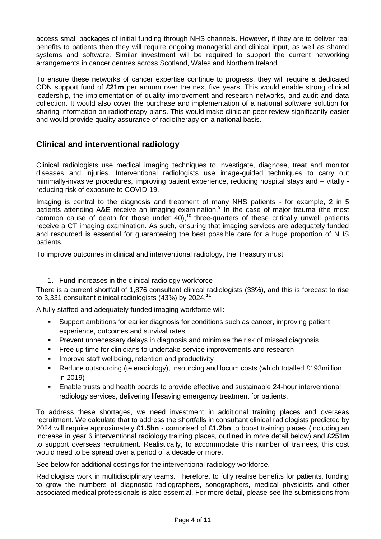access small packages of initial funding through NHS channels. However, if they are to deliver real benefits to patients then they will require ongoing managerial and clinical input, as well as shared systems and software. Similar investment will be required to support the current networking arrangements in cancer centres across Scotland, Wales and Northern Ireland.

To ensure these networks of cancer expertise continue to progress, they will require a dedicated ODN support fund of **£21m** per annum over the next five years. This would enable strong clinical leadership, the implementation of quality improvement and research networks, and audit and data collection. It would also cover the purchase and implementation of a national software solution for sharing information on radiotherapy plans. This would make clinician peer review significantly easier and would provide quality assurance of radiotherapy on a national basis.

## **Clinical and interventional radiology**

Clinical radiologists use medical imaging techniques to investigate, diagnose, treat and monitor diseases and injuries. Interventional radiologists use image-guided techniques to carry out minimally-invasive procedures, improving patient experience, reducing hospital stays and – vitally reducing risk of exposure to COVID-19.

Imaging is central to the diagnosis and treatment of many NHS patients - for example, 2 in 5 patients attending A&E receive an imaging examination.<sup>9</sup> In the case of major trauma (the most common cause of death for those under  $40$ ,  $^{10}$  three-quarters of these critically unwell patients receive a CT imaging examination. As such, ensuring that imaging services are adequately funded and resourced is essential for guaranteeing the best possible care for a huge proportion of NHS patients.

To improve outcomes in clinical and interventional radiology, the Treasury must:

#### 1. Fund increases in the clinical radiology workforce

There is a current shortfall of 1,876 consultant clinical radiologists (33%), and this is forecast to rise to 3,331 consultant clinical radiologists (43%) by 2024.<sup>11</sup>

A fully staffed and adequately funded imaging workforce will:

- Support ambitions for earlier diagnosis for conditions such as cancer, improving patient experience, outcomes and survival rates
- Prevent unnecessary delays in diagnosis and minimise the risk of missed diagnosis
- **Figure 1** Free up time for clinicians to undertake service improvements and research
- **IMPROVE Staff wellbeing, retention and productivity**
- Reduce outsourcing (teleradiology), insourcing and locum costs (which totalled £193million in 2019)
- Enable trusts and health boards to provide effective and sustainable 24-hour interventional radiology services, delivering lifesaving emergency treatment for patients.

To address these shortages, we need investment in additional training places and overseas recruitment. We calculate that to address the shortfalls in consultant clinical radiologists predicted by 2024 will require approximately **£1.5bn** - comprised of **£1.2bn** to boost training places (including an increase in year 6 interventional radiology training places, outlined in more detail below) and **£251m**  to support overseas recruitment. Realistically, to accommodate this number of trainees, this cost would need to be spread over a period of a decade or more.

See below for additional costings for the interventional radiology workforce.

Radiologists work in multidisciplinary teams. Therefore, to fully realise benefits for patients, funding to grow the numbers of diagnostic radiographers, sonographers, medical physicists and other associated medical professionals is also essential. For more detail, please see the submissions from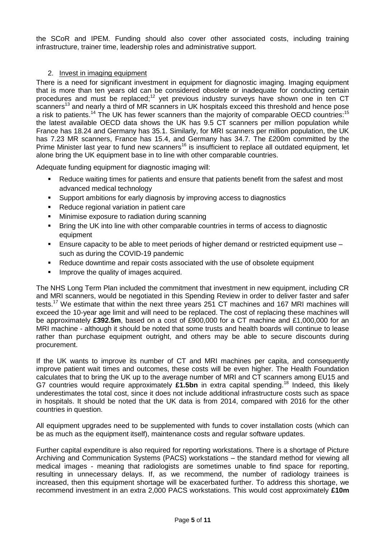the SCoR and IPEM. Funding should also cover other associated costs, including training infrastructure, trainer time, leadership roles and administrative support.

#### 2. Invest in imaging equipment

There is a need for significant investment in equipment for diagnostic imaging. Imaging equipment that is more than ten years old can be considered obsolete or inadequate for conducting certain procedures and must be replaced;<sup>12</sup> yet previous industry surveys have shown one in ten CT scanners<sup>13</sup> and nearly a third of MR scanners in UK hospitals exceed this threshold and hence pose a risk to patients.<sup>14</sup> The UK has fewer scanners than the majority of comparable OECD countries:<sup>15</sup> the latest available OECD data shows the UK has 9.5 CT scanners per million population while France has 18.24 and Germany has 35.1. Similarly, for MRI scanners per million population, the UK has 7.23 MR scanners, France has 15.4, and Germany has 34.7. The £200m committed by the Prime Minister last year to fund new scanners<sup>16</sup> is insufficient to replace all outdated equipment, let alone bring the UK equipment base in to line with other comparable countries.

Adequate funding equipment for diagnostic imaging will:

- Reduce waiting times for patients and ensure that patients benefit from the safest and most advanced medical technology
- Support ambitions for early diagnosis by improving access to diagnostics
- Reduce regional variation in patient care
- **Minimise exposure to radiation during scanning**
- **Bring the UK into line with other comparable countries in terms of access to diagnostic** equipment
- Ensure capacity to be able to meet periods of higher demand or restricted equipment use such as during the COVID-19 pandemic
- Reduce downtime and repair costs associated with the use of obsolete equipment
- Improve the quality of images acquired.

The NHS Long Term Plan included the commitment that investment in new equipment, including CR and MRI scanners, would be negotiated in this Spending Review in order to deliver faster and safer tests.<sup>17</sup> We estimate that within the next three years 251 CT machines and 167 MRI machines will exceed the 10-year age limit and will need to be replaced. The cost of replacing these machines will be approximately **£392.5m**, based on a cost of £900,000 for a CT machine and £1,000,000 for an MRI machine - although it should be noted that some trusts and health boards will continue to lease rather than purchase equipment outright, and others may be able to secure discounts during procurement.

If the UK wants to improve its number of CT and MRI machines per capita, and consequently improve patient wait times and outcomes, these costs will be even higher. The Health Foundation calculates that to bring the UK up to the average number of MRI and CT scanners among EU15 and G7 countries would require approximately £1.5bn in extra capital spending.<sup>18</sup> Indeed, this likely underestimates the total cost, since it does not include additional infrastructure costs such as space in hospitals. It should be noted that the UK data is from 2014, compared with 2016 for the other countries in question.

All equipment upgrades need to be supplemented with funds to cover installation costs (which can be as much as the equipment itself), maintenance costs and regular software updates.

Further capital expenditure is also required for reporting workstations. There is a shortage of Picture Archiving and Communication Systems (PACS) workstations – the standard method for viewing all medical images - meaning that radiologists are sometimes unable to find space for reporting, resulting in unnecessary delays. If, as we recommend, the number of radiology trainees is increased, then this equipment shortage will be exacerbated further. To address this shortage, we recommend investment in an extra 2,000 PACS workstations. This would cost approximately **£10m**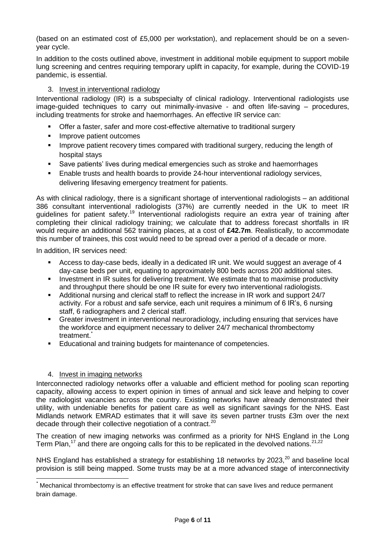(based on an estimated cost of £5,000 per workstation), and replacement should be on a sevenyear cycle.

In addition to the costs outlined above, investment in additional mobile equipment to support mobile lung screening and centres requiring temporary uplift in capacity, for example, during the COVID-19 pandemic, is essential.

#### 3. Invest in interventional radiology

Interventional radiology (IR) is a subspecialty of clinical radiology. Interventional radiologists use image-guided techniques to carry out minimally-invasive - and often life-saving – procedures, including treatments for stroke and haemorrhages. An effective IR service can:

- **•** Offer a faster, safer and more cost-effective alternative to traditional surgery
- **Improve patient outcomes**
- **IMPROVE PATE:** Improve patient recovery times compared with traditional surgery, reducing the length of hospital stays
- Save patients' lives during medical emergencies such as stroke and haemorrhages
- Enable trusts and health boards to provide 24-hour interventional radiology services, delivering lifesaving emergency treatment for patients.

As with clinical radiology, there is a significant shortage of interventional radiologists – an additional 386 consultant interventional radiologists (37%) are currently needed in the UK to meet IR guidelines for patient safety.<sup>19</sup> Interventional radiologists require an extra year of training after completing their clinical radiology training; we calculate that to address forecast shortfalls in IR would require an additional 562 training places, at a cost of **£42.7m**. Realistically, to accommodate this number of trainees, this cost would need to be spread over a period of a decade or more.

In addition, IR services need:

- Access to day-case beds, ideally in a dedicated IR unit. We would suggest an average of 4 day-case beds per unit, equating to approximately 800 beds across 200 additional sites.
- Investment in IR suites for delivering treatment. We estimate that to maximise productivity and throughput there should be one IR suite for every two interventional radiologists.
- Additional nursing and clerical staff to reflect the increase in IR work and support 24/7 activity. For a robust and safe service, each unit requires a minimum of 6 IR's, 6 nursing staff, 6 radiographers and 2 clerical staff.
- Greater investment in interventional neuroradiology, including ensuring that services have the workforce and equipment necessary to deliver 24/7 mechanical thrombectomy treatment.
- Educational and training budgets for maintenance of competencies.

#### 4. Invest in imaging networks

 $\overline{a}$ 

Interconnected radiology networks offer a valuable and efficient method for pooling scan reporting capacity, allowing access to expert opinion in times of annual and sick leave and helping to cover the radiologist vacancies across the country. Existing networks have already demonstrated their utility, with undeniable benefits for patient care as well as significant savings for the NHS. East Midlands network EMRAD estimates that it will save its seven partner trusts £3m over the next decade through their collective negotiation of a contract.<sup>20</sup>

The creation of new imaging networks was confirmed as a priority for NHS England in the Long Term Plan,<sup>17</sup> and there are ongoing calls for this to be replicated in the devolved nations.<sup>21,22</sup>

NHS England has established a strategy for establishing 18 networks by 2023, $^{20}$  and baseline local provision is still being mapped. Some trusts may be at a more advanced stage of interconnectivity

<sup>\*</sup> Mechanical thrombectomy is an effective treatment for stroke that can save lives and reduce permanent brain damage.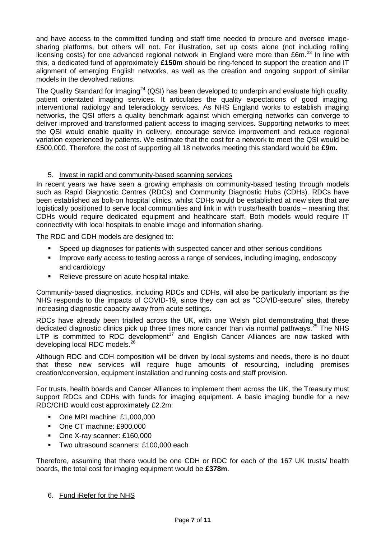and have access to the committed funding and staff time needed to procure and oversee imagesharing platforms, but others will not. For illustration, set up costs alone (not including rolling licensing costs) for one advanced regional network in England were more than £6m. $^{23}$  In line with this, a dedicated fund of approximately **£150m** should be ring-fenced to support the creation and IT alignment of emerging English networks, as well as the creation and ongoing support of similar models in the devolved nations.

The Quality Standard for Imaging<sup>24</sup> (QSI) has been developed to underpin and evaluate high quality, patient orientated imaging services. It articulates the quality expectations of good imaging, interventional radiology and teleradiology services. As NHS England works to establish imaging networks, the QSI offers a quality benchmark against which emerging networks can converge to deliver improved and transformed patient access to imaging services. Supporting networks to meet the QSI would enable quality in delivery, encourage service improvement and reduce regional variation experienced by patients. We estimate that the cost for a network to meet the QSI would be £500,000. Therefore, the cost of supporting all 18 networks meeting this standard would be **£9m.**

#### 5. Invest in rapid and community-based scanning services

In recent years we have seen a growing emphasis on community-based testing through models such as Rapid Diagnostic Centres (RDCs) and Community Diagnostic Hubs (CDHs). RDCs have been established as bolt-on hospital clinics, whilst CDHs would be established at new sites that are logistically positioned to serve local communities and link in with trusts/health boards – meaning that CDHs would require dedicated equipment and healthcare staff. Both models would require IT connectivity with local hospitals to enable image and information sharing.

The RDC and CDH models are designed to:

- Speed up diagnoses for patients with suspected cancer and other serious conditions
- **IMPROVE EXALGO EXA** increase to testing across a range of services, including imaging, endoscopy and cardiology
- Relieve pressure on acute hospital intake.

Community-based diagnostics, including RDCs and CDHs, will also be particularly important as the NHS responds to the impacts of COVID-19, since they can act as "COVID-secure" sites, thereby increasing diagnostic capacity away from acute settings.

RDCs have already been trialled across the UK, with one Welsh pilot demonstrating that these dedicated diagnostic clinics pick up three times more cancer than via normal pathways.<sup>25</sup> The NHS LTP is committed to RDC development<sup>17</sup> and English Cancer Alliances are now tasked with developing local RDC models.<sup>26</sup>

Although RDC and CDH composition will be driven by local systems and needs, there is no doubt that these new services will require huge amounts of resourcing, including premises creation/conversion, equipment installation and running costs and staff provision.

For trusts, health boards and Cancer Alliances to implement them across the UK, the Treasury must support RDCs and CDHs with funds for imaging equipment. A basic imaging bundle for a new RDC/CHD would cost approximately £2.2m:

- One MRI machine: £1,000,000
- One CT machine: £900,000
- One X-ray scanner: £160,000
- **Two ultrasound scanners: £100,000 each**

Therefore, assuming that there would be one CDH or RDC for each of the 167 UK trusts/ health boards, the total cost for imaging equipment would be **£378m**.

6. Fund iRefer for the NHS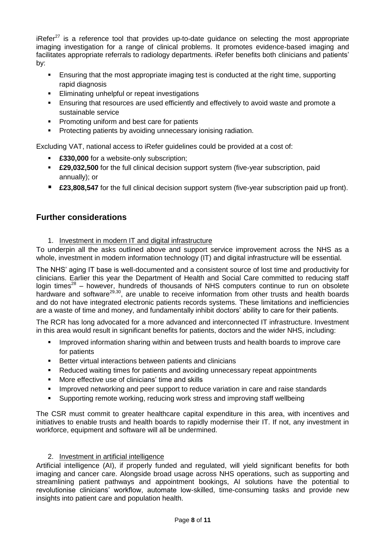iRefer $27$  is a reference tool that provides up-to-date guidance on selecting the most appropriate imaging investigation for a range of clinical problems. It promotes evidence-based imaging and facilitates appropriate referrals to radiology departments. iRefer benefits both clinicians and patients' by:

- Ensuring that the most appropriate imaging test is conducted at the right time, supporting rapid diagnosis
- Eliminating unhelpful or repeat investigations
- **Ensuring that resources are used efficiently and effectively to avoid waste and promote a** sustainable service
- **Promoting uniform and best care for patients**
- **Protecting patients by avoiding unnecessary ionising radiation.**

Excluding VAT, national access to iRefer guidelines could be provided at a cost of:

- **£330,000** for a website-only subscription;
- **£29,032,500** for the full clinical decision support system (five-year subscription, paid annually); or
- **£23,808,547** for the full clinical decision support system (five-year subscription paid up front).

## **Further considerations**

1. Investment in modern IT and digital infrastructure

To underpin all the asks outlined above and support service improvement across the NHS as a whole, investment in modern information technology (IT) and digital infrastructure will be essential.

The NHS' aging IT base is well-documented and a consistent source of lost time and productivity for clinicians. Earlier this year the Department of Health and Social Care committed to reducing staff login times<sup>28</sup> – however, hundreds of thousands of NHS computers continue to run on obsolete hardware and software<sup>29,30</sup>, are unable to receive information from other trusts and health boards and do not have integrated electronic patients records systems. These limitations and inefficiencies are a waste of time and money, and fundamentally inhibit doctors' ability to care for their patients.

The RCR has long advocated for a more advanced and interconnected IT infrastructure. Investment in this area would result in significant benefits for patients, doctors and the wider NHS, including:

- **IMPROVED information sharing within and between trusts and health boards to improve care** for patients
- Better virtual interactions between patients and clinicians
- Reduced waiting times for patients and avoiding unnecessary repeat appointments
- **More effective use of clinicians' time and skills**
- Improved networking and peer support to reduce variation in care and raise standards
- Supporting remote working, reducing work stress and improving staff wellbeing

The CSR must commit to greater healthcare capital expenditure in this area, with incentives and initiatives to enable trusts and health boards to rapidly modernise their IT. If not, any investment in workforce, equipment and software will all be undermined.

#### 2. Investment in artificial intelligence

Artificial intelligence (AI), if properly funded and regulated, will yield significant benefits for both imaging and cancer care. Alongside broad usage across NHS operations, such as supporting and streamlining patient pathways and appointment bookings, AI solutions have the potential to revolutionise clinicians' workflow, automate low-skilled, time-consuming tasks and provide new insights into patient care and population health.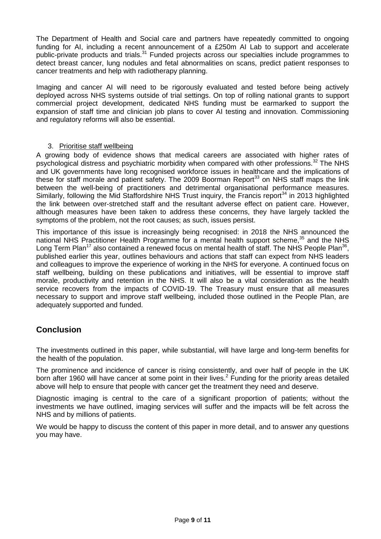The Department of Health and Social care and partners have repeatedly committed to ongoing funding for AI, including a recent announcement of a £250m AI Lab to support and accelerate public-private products and trials.<sup>31</sup> Funded projects across our specialties include programmes to detect breast cancer, lung nodules and fetal abnormalities on scans, predict patient responses to cancer treatments and help with radiotherapy planning.

Imaging and cancer AI will need to be rigorously evaluated and tested before being actively deployed across NHS systems outside of trial settings. On top of rolling national grants to support commercial project development, dedicated NHS funding must be earmarked to support the expansion of staff time and clinician job plans to cover AI testing and innovation. Commissioning and regulatory reforms will also be essential.

#### 3. Prioritise staff wellbeing

A growing body of evidence shows that medical careers are associated with higher rates of psychological distress and psychiatric morbidity when compared with other professions.<sup>32</sup> The NHS and UK governments have long recognised workforce issues in healthcare and the implications of these for staff morale and patient safety. The 2009 Boorman Report<sup>33</sup> on NHS staff maps the link between the well-being of practitioners and detrimental organisational performance measures. Similarly, following the Mid Staffordshire NHS Trust inquiry, the Francis report<sup>34</sup> in 2013 highlighted the link between over-stretched staff and the resultant adverse effect on patient care. However, although measures have been taken to address these concerns, they have largely tackled the symptoms of the problem, not the root causes; as such, issues persist.

This importance of this issue is increasingly being recognised: in 2018 the NHS announced the national NHS Practitioner Health Programme for a mental health support scheme, $35$  and the NHS Long Term Plan<sup>17</sup> also contained a renewed focus on mental health of staff. The NHS People Plan<sup>36</sup>, published earlier this year, outlines behaviours and actions that staff can expect from NHS leaders and colleagues to improve the experience of working in the NHS for everyone. A continued focus on staff wellbeing, building on these publications and initiatives, will be essential to improve staff morale, productivity and retention in the NHS. It will also be a vital consideration as the health service recovers from the impacts of COVID-19. The Treasury must ensure that all measures necessary to support and improve staff wellbeing, included those outlined in the People Plan, are adequately supported and funded.

### **Conclusion**

The investments outlined in this paper, while substantial, will have large and long-term benefits for the health of the population.

The prominence and incidence of cancer is rising consistently, and over half of people in the UK born after 1960 will have cancer at some point in their lives.<sup>2</sup> Funding for the priority areas detailed above will help to ensure that people with cancer get the treatment they need and deserve.

Diagnostic imaging is central to the care of a significant proportion of patients; without the investments we have outlined, imaging services will suffer and the impacts will be felt across the NHS and by millions of patients.

We would be happy to discuss the content of this paper in more detail, and to answer any questions you may have.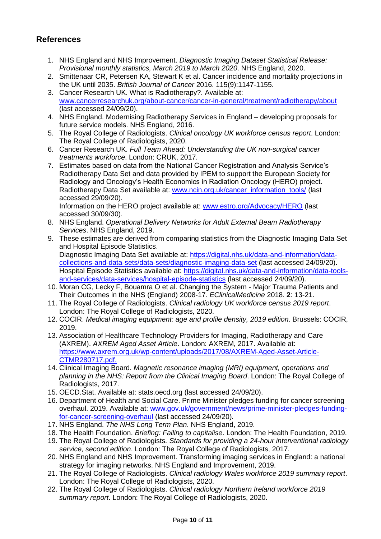# **References**

- 1. NHS England and NHS Improvement. *Diagnostic Imaging Dataset Statistical Release: Provisional monthly statistics, March 2019 to March 2020*. NHS England, 2020.
- 2. [Smittenaar](https://pubmed.ncbi.nlm.nih.gov/?term=Smittenaar+CR&cauthor_id=27727232) CR, Petersen KA, Stewart K et al. Cancer incidence and mortality projections in the UK until 2035. *British Journal of Cancer* 2016. 115(9):1147-1155.
- 3. Cancer Research UK. What is Radiotherapy?. Available at: [www.cancerresearchuk.org/about-cancer/cancer-in-general/treatment/radiotherapy/about](http://www.cancerresearchuk.org/about-cancer/cancer-in-general/treatment/radiotherapy/about) (last accessed 24/09/20).
- 4. NHS England. Modernising Radiotherapy Services in England developing proposals for future service models. NHS England, 2016.
- 5. The Royal College of Radiologists. *Clinical oncology UK workforce census report*. London: The Royal College of Radiologists, 2020.
- 6. Cancer Research UK. *Full Team Ahead: Understanding the UK non-surgical cancer treatments workforce*. London: CRUK, 2017.
- 7. Estimates based on data from the National Cancer Registration and Analysis Service's Radiotherapy Data Set and data provided by IPEM to support the European Society for Radiology and Oncology's Health Economics in Radiation Oncology (HERO) project. Radiotherapy Data Set available at: [www.ncin.org.uk/cancer\\_information\\_tools/](http://www.ncin.org.uk/cancer_information_tools/) (last accessed 29/09/20). Information on the HERO project available at: [www.estro.org/Advocacy/HERO](http://www.estro.org/Advocacy/HERO) (last accessed 30/09/30).
- 8. NHS England. *Operational Delivery Networks for Adult External Beam Radiotherapy Services*. NHS England, 2019.
- 9. These estimates are derived from comparing statistics from the Diagnostic Imaging Data Set and Hospital Episode Statistics. Diagnostic Imaging Data Set available at: [https://digital.nhs.uk/data-and-information/data](https://digital.nhs.uk/data-and-information/data-collections-and-data-sets/data-sets/diagnostic-imaging-data-set)[collections-and-data-sets/data-sets/diagnostic-imaging-data-set](https://digital.nhs.uk/data-and-information/data-collections-and-data-sets/data-sets/diagnostic-imaging-data-set) (last accessed 24/09/20). Hospital Episode Statistics available at: [https://digital.nhs.uk/data-and-information/data-tools](https://digital.nhs.uk/data-and-information/data-tools-and-services/data-services/hospital-episode-statistics)[and-services/data-services/hospital-episode-statistics](https://digital.nhs.uk/data-and-information/data-tools-and-services/data-services/hospital-episode-statistics) (last accessed 24/09/20).
- 10. Moran CG, Lecky F, Bouamra O et al. Changing the System Major Trauma Patients and Their Outcomes in the NHS (England) 2008-17. *EClinicalMedicine* 2018. **2**: 13-21.
- 11. The Royal College of Radiologists. *Clinical radiology UK workforce census 2019 report*. London: The Royal College of Radiologists, 2020.
- 12. COCIR. *Medical imaging equipment: age and profile density, 2019 edition*. Brussels: COCIR, 2019.
- 13. Association of Healthcare Technology Providers for Imaging, Radiotherapy and Care (AXREM). *AXREM Aged Asset Article*. London: AXREM, 2017. Available at: [https://www.axrem.org.uk/wp-content/uploads/2017/08/AXREM-Aged-Asset-Article-](https://www.axrem.org.uk/wp-content/uploads/2017/08/AXREM-Aged-Asset-Article-CTMR280717.pdf)[CTMR280717.pdf.](https://www.axrem.org.uk/wp-content/uploads/2017/08/AXREM-Aged-Asset-Article-CTMR280717.pdf)
- 14. Clinical Imaging Board. *Magnetic resonance imaging (MRI) equipment, operations and planning in the NHS: Report from the Clinical Imaging Board*. London: The Royal College of Radiologists, 2017.
- 15. OECD.Stat. Available at: stats.oecd.org (last accessed 24/09/20).
- 16. Department of Health and Social Care. Prime Minister pledges funding for cancer screening overhaul. 2019. Available at: [www.gov.uk/government/news/prime-minister-pledges-funding](http://www.gov.uk/government/news/prime-minister-pledges-funding-for-cancer-screening-overhaul)[for-cancer-screening-overhaul](http://www.gov.uk/government/news/prime-minister-pledges-funding-for-cancer-screening-overhaul) (last accessed 24/09/20).
- 17. NHS England. *The NHS Long Term Plan*. NHS England, 2019.
- 18. The Health Foundation. *Briefing: Failing to capitalise*. London: The Health Foundation, 2019.
- 19. The Royal College of Radiologists*. Standards for providing a 24-hour interventional radiology service, second edition*. London: The Royal College of Radiologists, 2017.
- 20. NHS England and NHS Improvement. Transforming imaging services in England: a national strategy for imaging networks. NHS England and Improvement, 2019.
- 21. The Royal College of Radiologists. *Clinical radiology Wales workforce 2019 summary report*. London: The Royal College of Radiologists, 2020.
- 22. The Royal College of Radiologists. *Clinical radiology Northern Ireland workforce 2019 summary report*. London: The Royal College of Radiologists, 2020.